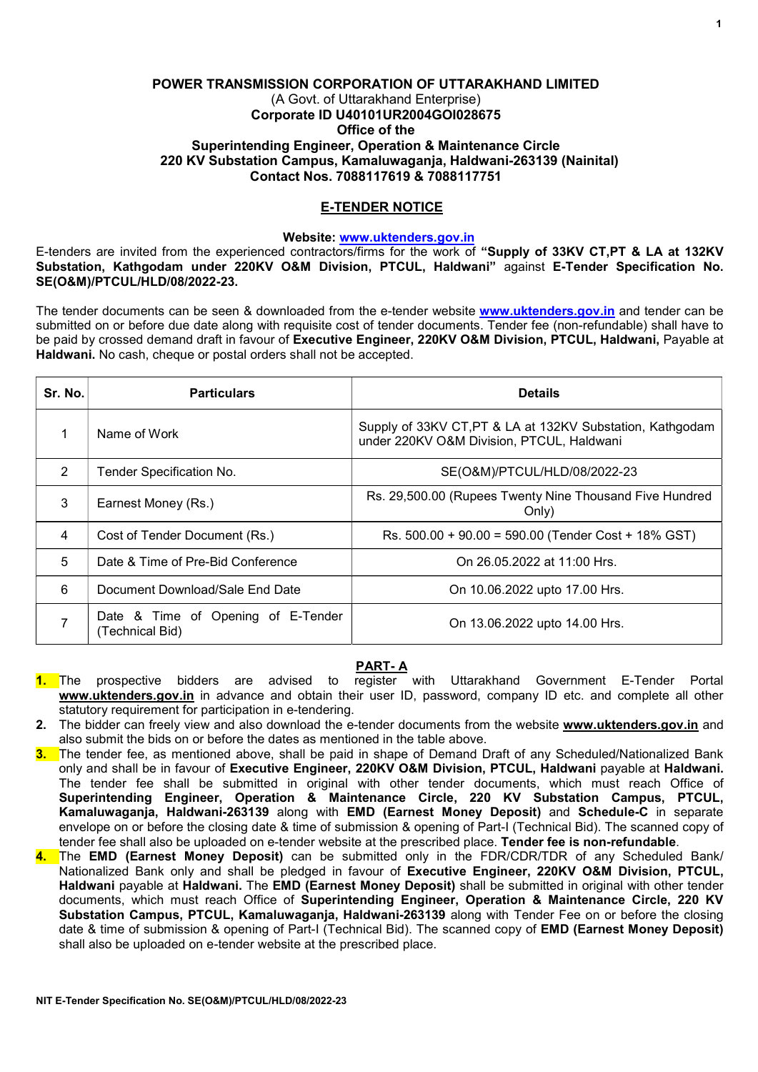## POWER TRANSMISSION CORPORATION OF UTTARAKHAND LIMITED (A Govt. of Uttarakhand Enterprise) Corporate ID U40101UR2004GOI028675 Office of the Superintending Engineer, Operation & Maintenance Circle 220 KV Substation Campus, Kamaluwaganja, Haldwani-263139 (Nainital) Contact Nos. 7088117619 & 7088117751

# E-TENDER NOTICE

### Website: www.uktenders.gov.in

E-tenders are invited from the experienced contractors/firms for the work of "Supply of 33KV CT,PT & LA at 132KV Substation, Kathgodam under 220KV O&M Division, PTCUL, Haldwani" against E-Tender Specification No. SE(O&M)/PTCUL/HLD/08/2022-23.

The tender documents can be seen & downloaded from the e-tender website www.uktenders.gov.in and tender can be submitted on or before due date along with requisite cost of tender documents. Tender fee (non-refundable) shall have to be paid by crossed demand draft in favour of Executive Engineer, 220KV O&M Division, PTCUL, Haldwani, Payable at Haldwani. No cash, cheque or postal orders shall not be accepted.

| Sr. No. | <b>Particulars</b>                                    | <b>Details</b>                                                                                         |
|---------|-------------------------------------------------------|--------------------------------------------------------------------------------------------------------|
|         | Name of Work                                          | Supply of 33KV CT, PT & LA at 132KV Substation, Kathgodam<br>under 220KV O&M Division, PTCUL, Haldwani |
| 2       | Tender Specification No.                              | SE(O&M)/PTCUL/HLD/08/2022-23                                                                           |
| 3       | Earnest Money (Rs.)                                   | Rs. 29,500.00 (Rupees Twenty Nine Thousand Five Hundred<br>Only)                                       |
| 4       | Cost of Tender Document (Rs.)                         | Rs. 500.00 + 90.00 = 590.00 (Tender Cost + 18% GST)                                                    |
| 5       | Date & Time of Pre-Bid Conference                     | On 26.05.2022 at 11:00 Hrs.                                                                            |
| 6       | Document Download/Sale End Date                       | On 10.06.2022 upto 17.00 Hrs.                                                                          |
|         | Date & Time of Opening of E-Tender<br>(Technical Bid) | On 13.06.2022 upto 14.00 Hrs.                                                                          |

# PART- A

- 1. The prospective bidders are advised to register with Uttarakhand Government E-Tender Portal www.uktenders.gov.in in advance and obtain their user ID, password, company ID etc. and complete all other statutory requirement for participation in e-tendering.
- 2. The bidder can freely view and also download the e-tender documents from the website www.uktenders.gov.in and also submit the bids on or before the dates as mentioned in the table above.
- 3. The tender fee, as mentioned above, shall be paid in shape of Demand Draft of any Scheduled/Nationalized Bank only and shall be in favour of Executive Engineer, 220KV O&M Division, PTCUL, Haldwani payable at Haldwani. The tender fee shall be submitted in original with other tender documents, which must reach Office of Superintending Engineer, Operation & Maintenance Circle, 220 KV Substation Campus, PTCUL, Kamaluwaganja, Haldwani-263139 along with EMD (Earnest Money Deposit) and Schedule-C in separate envelope on or before the closing date & time of submission & opening of Part-I (Technical Bid). The scanned copy of tender fee shall also be uploaded on e-tender website at the prescribed place. Tender fee is non-refundable.
- 4. The EMD (Earnest Money Deposit) can be submitted only in the FDR/CDR/TDR of any Scheduled Bank/ Nationalized Bank only and shall be pledged in favour of Executive Engineer, 220KV O&M Division, PTCUL, Haldwani payable at Haldwani. The EMD (Earnest Money Deposit) shall be submitted in original with other tender documents, which must reach Office of Superintending Engineer, Operation & Maintenance Circle, 220 KV Substation Campus, PTCUL, Kamaluwagania, Haldwani-263139 along with Tender Fee on or before the closing date & time of submission & opening of Part-I (Technical Bid). The scanned copy of EMD (Earnest Money Deposit) shall also be uploaded on e-tender website at the prescribed place.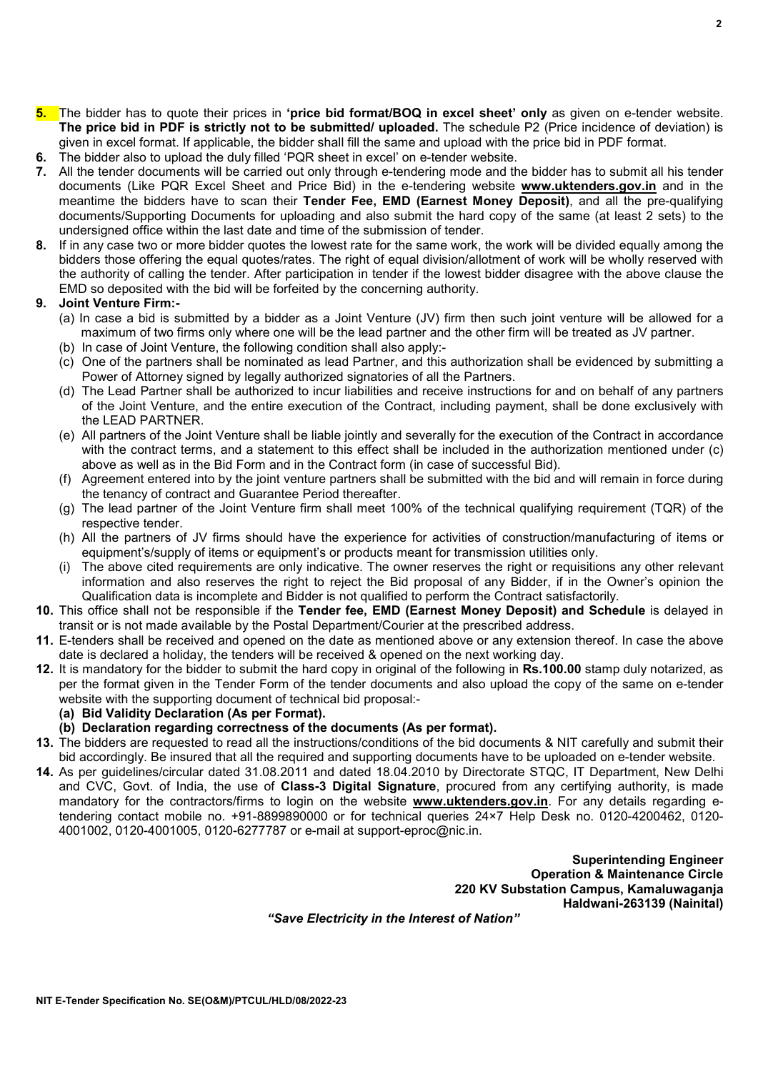$\overline{2}$ 

8. If in any case two or more bidder quotes the lowest rate for the same work, the work will be divided equally among the bidders those offering the equal quotes/rates. The right of equal division/allotment of work will be wholly reserved with the authority of calling the tender. After participation in tender if the lowest bidder disagree with the above clause the

5. The bidder has to quote their prices in 'price bid format/BOQ in excel sheet' only as given on e-tender website. The price bid in PDF is strictly not to be submitted/ uploaded. The schedule P2 (Price incidence of deviation) is

7. All the tender documents will be carried out only through e-tendering mode and the bidder has to submit all his tender documents (Like PQR Excel Sheet and Price Bid) in the e-tendering website **www.uktenders.gov.in** and in the meantime the bidders have to scan their Tender Fee, EMD (Earnest Money Deposit), and all the pre-qualifying documents/Supporting Documents for uploading and also submit the hard copy of the same (at least 2 sets) to the

given in excel format. If applicable, the bidder shall fill the same and upload with the price bid in PDF format.

EMD so deposited with the bid will be forfeited by the concerning authority.

undersigned office within the last date and time of the submission of tender.

6. The bidder also to upload the duly filled 'PQR sheet in excel' on e-tender website.

#### 9. Joint Venture Firm:-

- (a) In case a bid is submitted by a bidder as a Joint Venture (JV) firm then such joint venture will be allowed for a maximum of two firms only where one will be the lead partner and the other firm will be treated as JV partner.
- (b) In case of Joint Venture, the following condition shall also apply:-
- (c) One of the partners shall be nominated as lead Partner, and this authorization shall be evidenced by submitting a Power of Attorney signed by legally authorized signatories of all the Partners.
- (d) The Lead Partner shall be authorized to incur liabilities and receive instructions for and on behalf of any partners of the Joint Venture, and the entire execution of the Contract, including payment, shall be done exclusively with the LEAD PARTNER.
- (e) All partners of the Joint Venture shall be liable jointly and severally for the execution of the Contract in accordance with the contract terms, and a statement to this effect shall be included in the authorization mentioned under (c) above as well as in the Bid Form and in the Contract form (in case of successful Bid).
- (f) Agreement entered into by the joint venture partners shall be submitted with the bid and will remain in force during the tenancy of contract and Guarantee Period thereafter.
- (g) The lead partner of the Joint Venture firm shall meet 100% of the technical qualifying requirement (TQR) of the respective tender.
- (h) All the partners of JV firms should have the experience for activities of construction/manufacturing of items or equipment's/supply of items or equipment's or products meant for transmission utilities only.
- (i) The above cited requirements are only indicative. The owner reserves the right or requisitions any other relevant information and also reserves the right to reject the Bid proposal of any Bidder, if in the Owner's opinion the Qualification data is incomplete and Bidder is not qualified to perform the Contract satisfactorily.
- 10. This office shall not be responsible if the Tender fee, EMD (Earnest Money Deposit) and Schedule is delayed in transit or is not made available by the Postal Department/Courier at the prescribed address.
- 11. E-tenders shall be received and opened on the date as mentioned above or any extension thereof. In case the above date is declared a holiday, the tenders will be received & opened on the next working day.
- 12. It is mandatory for the bidder to submit the hard copy in original of the following in Rs.100.00 stamp duly notarized, as per the format given in the Tender Form of the tender documents and also upload the copy of the same on e-tender website with the supporting document of technical bid proposal:-
	- (a) Bid Validity Declaration (As per Format).
	- (b) Declaration regarding correctness of the documents (As per format).
- 13. The bidders are requested to read all the instructions/conditions of the bid documents & NIT carefully and submit their bid accordingly. Be insured that all the required and supporting documents have to be uploaded on e-tender website.
- 14. As per guidelines/circular dated 31.08.2011 and dated 18.04.2010 by Directorate STQC, IT Department, New Delhi and CVC, Govt. of India, the use of Class-3 Digital Signature, procured from any certifying authority, is made mandatory for the contractors/firms to login on the website www.uktenders.gov.in. For any details regarding etendering contact mobile no. +91-8899890000 or for technical queries 24×7 Help Desk no. 0120-4200462, 0120- 4001002, 0120-4001005, 0120-6277787 or e-mail at support-eproc@nic.in.

Superintending Engineer Operation & Maintenance Circle 220 KV Substation Campus, Kamaluwaganja Haldwani-263139 (Nainital)

"Save Electricity in the Interest of Nation"